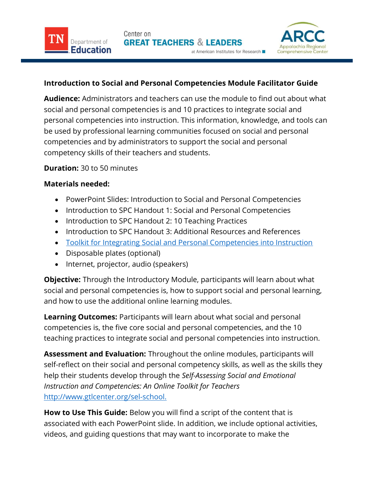

## Introduction to Social and Personal Competencies Module Facilitator Guide

**Audience:** Administrators and teachers can use the module to find out about what social and personal competencies is and 10 practices to integrate social and personal competencies into instruction. This information, knowledge, and tools can be used by professional learning communities focused on social and personal competencies and by administrators to support the social and personal competency skills of their teachers and students.

## **Duration:** 30 to 50 minutes

Department of

Education

## Materials needed:

- PowerPoint Slides: Introduction to Social and Personal Competencies
- Introduction to SPC Handout 1: Social and Personal Competencies
- Introduction to SPC Handout 2: 10 Teaching Practices
- Introduction to SPC Handout 3: Additional Resources and References
- Toolkit for Integrating Social and Personal Competencies into Instruction
- Disposable plates (optional)
- Internet, projector, audio (speakers)

**Objective:** Through the Introductory Module, participants will learn about what social and personal competencies is, how to support social and personal learning, and how to use the additional online learning modules.

Learning Outcomes: Participants will learn about what social and personal competencies is, the five core social and personal competencies, and the 10 teaching practices to integrate social and personal competencies into instruction.

**Assessment and Evaluation:** Throughout the online modules, participants will self-reflect on their social and personal competency skills, as well as the skills they help their students develop through the *Self-Assessing Social and Emotional*  Instruction and Competencies: An Online Toolkit for Teachers http://www.gtlcenter.org/sel-school.

**How to Use This Guide:** Below you will find a script of the content that is associated with each PowerPoint slide. In addition, we include optional activities, videos, and guiding questions that may want to incorporate to make the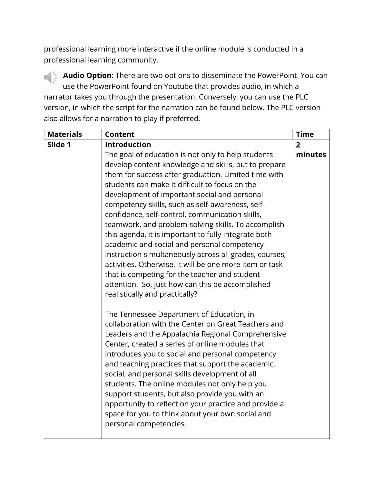professional learning more interactive if the online module is conducted in a professional learning community.

**Audio Option**: There are two options to disseminate the PowerPoint. You can use the PowerPoint found on Youtube that provides audio, in which a narrator takes you through the presentation. Conversely, you can use the PLC version, in which the script for the narration can be found below. The PLC version also allows for a narration to play if preferred.

| <b>Materials</b> | Content                                                                            | <b>Time</b>    |
|------------------|------------------------------------------------------------------------------------|----------------|
| Slide 1          | <b>Introduction</b>                                                                | $\overline{2}$ |
|                  | The goal of education is not only to help students                                 | minutes        |
|                  | develop content knowledge and skills, but to prepare                               |                |
|                  | them for success after graduation. Limited time with                               |                |
|                  | students can make it difficult to focus on the                                     |                |
|                  | development of important social and personal                                       |                |
|                  | competency skills, such as self-awareness, self-                                   |                |
|                  | confidence, self-control, communication skills,                                    |                |
|                  | teamwork, and problem-solving skills. To accomplish                                |                |
|                  | this agenda, it is important to fully integrate both                               |                |
|                  | academic and social and personal competency                                        |                |
|                  | instruction simultaneously across all grades, courses,                             |                |
|                  | activities. Otherwise, it will be one more item or task                            |                |
|                  | that is competing for the teacher and student                                      |                |
|                  | attention. So, just how can this be accomplished<br>realistically and practically? |                |
|                  |                                                                                    |                |
|                  | The Tennessee Department of Education, in                                          |                |
|                  | collaboration with the Center on Great Teachers and                                |                |
|                  | Leaders and the Appalachia Regional Comprehensive                                  |                |
|                  | Center, created a series of online modules that                                    |                |
|                  | introduces you to social and personal competency                                   |                |
|                  | and teaching practices that support the academic,                                  |                |
|                  | social, and personal skills development of all                                     |                |
|                  | students. The online modules not only help you                                     |                |
|                  | support students, but also provide you with an                                     |                |
|                  | opportunity to reflect on your practice and provide a                              |                |
|                  | space for you to think about your own social and                                   |                |
|                  | personal competencies.                                                             |                |
|                  |                                                                                    |                |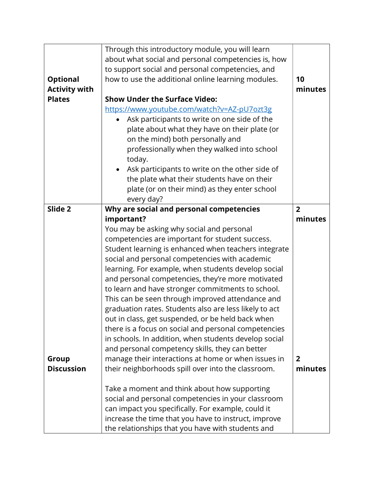|                      | Through this introductory module, you will learn       |                |
|----------------------|--------------------------------------------------------|----------------|
|                      | about what social and personal competencies is, how    |                |
|                      | to support social and personal competencies, and       |                |
| <b>Optional</b>      | how to use the additional online learning modules.     | 10             |
| <b>Activity with</b> |                                                        | minutes        |
| <b>Plates</b>        | <b>Show Under the Surface Video:</b>                   |                |
|                      | https://www.youtube.com/watch?v=AZ-pU7ozt3g            |                |
|                      | Ask participants to write on one side of the           |                |
|                      | plate about what they have on their plate (or          |                |
|                      | on the mind) both personally and                       |                |
|                      | professionally when they walked into school            |                |
|                      | today.                                                 |                |
|                      | Ask participants to write on the other side of         |                |
|                      | the plate what their students have on their            |                |
|                      | plate (or on their mind) as they enter school          |                |
|                      | every day?                                             |                |
| Slide 2              | Why are social and personal competencies               | $\overline{2}$ |
|                      | important?                                             | minutes        |
|                      | You may be asking why social and personal              |                |
|                      | competencies are important for student success.        |                |
|                      | Student learning is enhanced when teachers integrate   |                |
|                      | social and personal competencies with academic         |                |
|                      | learning. For example, when students develop social    |                |
|                      | and personal competencies, they're more motivated      |                |
|                      | to learn and have stronger commitments to school.      |                |
|                      | This can be seen through improved attendance and       |                |
|                      | graduation rates. Students also are less likely to act |                |
|                      | out in class, get suspended, or be held back when      |                |
|                      | there is a focus on social and personal competencies   |                |
|                      | in schools. In addition, when students develop social  |                |
|                      | and personal competency skills, they can better        |                |
| Group                | manage their interactions at home or when issues in    | $\overline{2}$ |
| <b>Discussion</b>    | their neighborhoods spill over into the classroom.     | minutes        |
|                      |                                                        |                |
|                      | Take a moment and think about how supporting           |                |
|                      | social and personal competencies in your classroom     |                |
|                      | can impact you specifically. For example, could it     |                |
|                      | increase the time that you have to instruct, improve   |                |
|                      | the relationships that you have with students and      |                |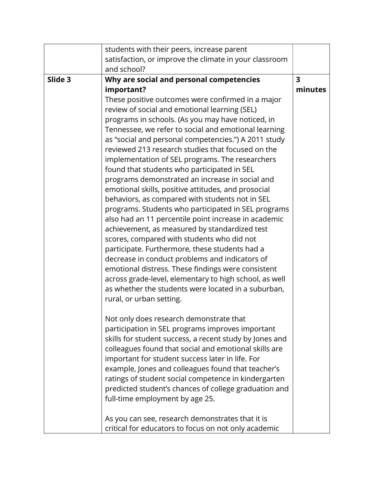|         | students with their peers, increase parent                                                       |                         |
|---------|--------------------------------------------------------------------------------------------------|-------------------------|
|         | satisfaction, or improve the climate in your classroom                                           |                         |
|         | and school?                                                                                      |                         |
| Slide 3 | Why are social and personal competencies                                                         | $\overline{\mathbf{3}}$ |
|         | important?                                                                                       | minutes                 |
|         | These positive outcomes were confirmed in a major                                                |                         |
|         | review of social and emotional learning (SEL)                                                    |                         |
|         | programs in schools. (As you may have noticed, in                                                |                         |
|         | Tennessee, we refer to social and emotional learning                                             |                         |
|         | as "social and personal competencies.") A 2011 study                                             |                         |
|         | reviewed 213 research studies that focused on the                                                |                         |
|         | implementation of SEL programs. The researchers                                                  |                         |
|         | found that students who participated in SEL                                                      |                         |
|         | programs demonstrated an increase in social and                                                  |                         |
|         | emotional skills, positive attitudes, and prosocial                                              |                         |
|         | behaviors, as compared with students not in SEL                                                  |                         |
|         | programs. Students who participated in SEL programs                                              |                         |
|         | also had an 11 percentile point increase in academic                                             |                         |
|         | achievement, as measured by standardized test                                                    |                         |
|         | scores, compared with students who did not                                                       |                         |
|         | participate. Furthermore, these students had a<br>decrease in conduct problems and indicators of |                         |
|         | emotional distress. These findings were consistent                                               |                         |
|         | across grade-level, elementary to high school, as well                                           |                         |
|         | as whether the students were located in a suburban,                                              |                         |
|         | rural, or urban setting.                                                                         |                         |
|         |                                                                                                  |                         |
|         | Not only does research demonstrate that                                                          |                         |
|         | participation in SEL programs improves important                                                 |                         |
|         | skills for student success, a recent study by Jones and                                          |                         |
|         | colleagues found that social and emotional skills are                                            |                         |
|         | important for student success later in life. For                                                 |                         |
|         | example, Jones and colleagues found that teacher's                                               |                         |
|         | ratings of student social competence in kindergarten                                             |                         |
|         | predicted student's chances of college graduation and                                            |                         |
|         | full-time employment by age 25.                                                                  |                         |
|         | As you can see, research demonstrates that it is                                                 |                         |
|         | critical for educators to focus on not only academic                                             |                         |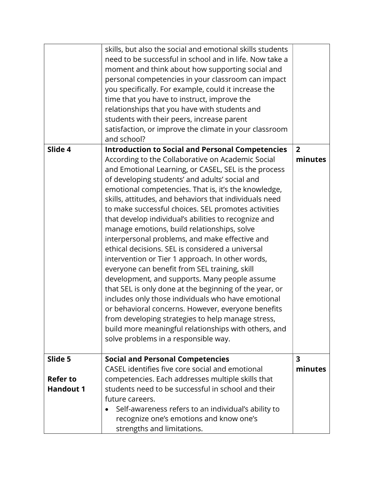|                                                | skills, but also the social and emotional skills students<br>need to be successful in school and in life. Now take a<br>moment and think about how supporting social and<br>personal competencies in your classroom can impact<br>you specifically. For example, could it increase the<br>time that you have to instruct, improve the<br>relationships that you have with students and<br>students with their peers, increase parent<br>satisfaction, or improve the climate in your classroom<br>and school?                                                                                                                                                                                                                                                                                                                                                                                                                                                                                                                                                                                 |                                    |
|------------------------------------------------|-----------------------------------------------------------------------------------------------------------------------------------------------------------------------------------------------------------------------------------------------------------------------------------------------------------------------------------------------------------------------------------------------------------------------------------------------------------------------------------------------------------------------------------------------------------------------------------------------------------------------------------------------------------------------------------------------------------------------------------------------------------------------------------------------------------------------------------------------------------------------------------------------------------------------------------------------------------------------------------------------------------------------------------------------------------------------------------------------|------------------------------------|
| Slide 4                                        | <b>Introduction to Social and Personal Competencies</b><br>According to the Collaborative on Academic Social<br>and Emotional Learning, or CASEL, SEL is the process<br>of developing students' and adults' social and<br>emotional competencies. That is, it's the knowledge,<br>skills, attitudes, and behaviors that individuals need<br>to make successful choices. SEL promotes activities<br>that develop individual's abilities to recognize and<br>manage emotions, build relationships, solve<br>interpersonal problems, and make effective and<br>ethical decisions. SEL is considered a universal<br>intervention or Tier 1 approach. In other words,<br>everyone can benefit from SEL training, skill<br>development, and supports. Many people assume<br>that SEL is only done at the beginning of the year, or<br>includes only those individuals who have emotional<br>or behavioral concerns. However, everyone benefits<br>from developing strategies to help manage stress,<br>build more meaningful relationships with others, and<br>solve problems in a responsible way. | $\overline{2}$<br>minutes          |
| Slide 5<br><b>Refer to</b><br><b>Handout 1</b> | <b>Social and Personal Competencies</b><br>CASEL identifies five core social and emotional<br>competencies. Each addresses multiple skills that<br>students need to be successful in school and their<br>future careers.<br>Self-awareness refers to an individual's ability to<br>recognize one's emotions and know one's                                                                                                                                                                                                                                                                                                                                                                                                                                                                                                                                                                                                                                                                                                                                                                    | $\overline{\mathbf{3}}$<br>minutes |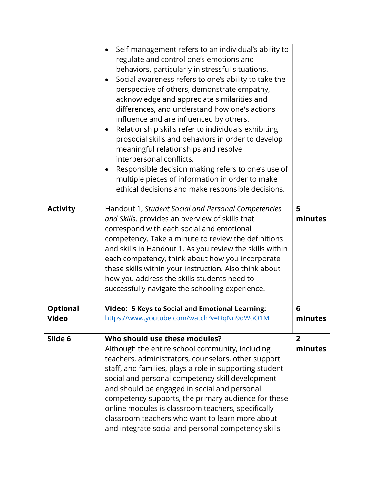| <b>Activity</b>                 | Self-management refers to an individual's ability to<br>$\bullet$<br>regulate and control one's emotions and<br>behaviors, particularly in stressful situations.<br>Social awareness refers to one's ability to take the<br>$\bullet$<br>perspective of others, demonstrate empathy,<br>acknowledge and appreciate similarities and<br>differences, and understand how one's actions<br>influence and are influenced by others.<br>Relationship skills refer to individuals exhibiting<br>$\bullet$<br>prosocial skills and behaviors in order to develop<br>meaningful relationships and resolve<br>interpersonal conflicts.<br>Responsible decision making refers to one's use of<br>٠<br>multiple pieces of information in order to make<br>ethical decisions and make responsible decisions.<br>Handout 1, Student Social and Personal Competencies<br>and Skills, provides an overview of skills that<br>correspond with each social and emotional<br>competency. Take a minute to review the definitions<br>and skills in Handout 1. As you review the skills within<br>each competency, think about how you incorporate<br>these skills within your instruction. Also think about<br>how you address the skills students need to<br>successfully navigate the schooling experience. | 5<br>minutes              |
|---------------------------------|--------------------------------------------------------------------------------------------------------------------------------------------------------------------------------------------------------------------------------------------------------------------------------------------------------------------------------------------------------------------------------------------------------------------------------------------------------------------------------------------------------------------------------------------------------------------------------------------------------------------------------------------------------------------------------------------------------------------------------------------------------------------------------------------------------------------------------------------------------------------------------------------------------------------------------------------------------------------------------------------------------------------------------------------------------------------------------------------------------------------------------------------------------------------------------------------------------------------------------------------------------------------------------------------|---------------------------|
| <b>Optional</b><br><b>Video</b> | <b>Video: 5 Keys to Social and Emotional Learning:</b><br>https://www.youtube.com/watch?v=DqNn9qWoO1M                                                                                                                                                                                                                                                                                                                                                                                                                                                                                                                                                                                                                                                                                                                                                                                                                                                                                                                                                                                                                                                                                                                                                                                      | 6<br>minutes              |
| Slide 6                         | Who should use these modules?<br>Although the entire school community, including<br>teachers, administrators, counselors, other support<br>staff, and families, plays a role in supporting student<br>social and personal competency skill development<br>and should be engaged in social and personal<br>competency supports, the primary audience for these<br>online modules is classroom teachers, specifically<br>classroom teachers who want to learn more about<br>and integrate social and personal competency skills                                                                                                                                                                                                                                                                                                                                                                                                                                                                                                                                                                                                                                                                                                                                                              | $\overline{2}$<br>minutes |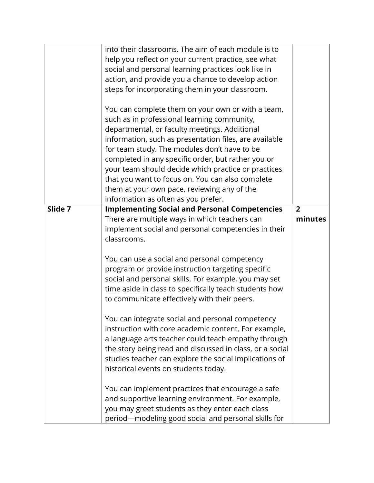|         | into their classrooms. The aim of each module is to      |                |
|---------|----------------------------------------------------------|----------------|
|         | help you reflect on your current practice, see what      |                |
|         | social and personal learning practices look like in      |                |
|         | action, and provide you a chance to develop action       |                |
|         |                                                          |                |
|         | steps for incorporating them in your classroom.          |                |
|         |                                                          |                |
|         | You can complete them on your own or with a team,        |                |
|         | such as in professional learning community,              |                |
|         | departmental, or faculty meetings. Additional            |                |
|         | information, such as presentation files, are available   |                |
|         | for team study. The modules don't have to be             |                |
|         | completed in any specific order, but rather you or       |                |
|         | your team should decide which practice or practices      |                |
|         | that you want to focus on. You can also complete         |                |
|         | them at your own pace, reviewing any of the              |                |
|         | information as often as you prefer.                      |                |
| Slide 7 | <b>Implementing Social and Personal Competencies</b>     | $\overline{2}$ |
|         | There are multiple ways in which teachers can            | minutes        |
|         | implement social and personal competencies in their      |                |
|         | classrooms.                                              |                |
|         |                                                          |                |
|         | You can use a social and personal competency             |                |
|         | program or provide instruction targeting specific        |                |
|         | social and personal skills. For example, you may set     |                |
|         | time aside in class to specifically teach students how   |                |
|         | to communicate effectively with their peers.             |                |
|         |                                                          |                |
|         | You can integrate social and personal competency         |                |
|         | instruction with core academic content. For example,     |                |
|         | a language arts teacher could teach empathy through      |                |
|         |                                                          |                |
|         | the story being read and discussed in class, or a social |                |
|         | studies teacher can explore the social implications of   |                |
|         | historical events on students today.                     |                |
|         | You can implement practices that encourage a safe        |                |
|         | and supportive learning environment. For example,        |                |
|         | you may greet students as they enter each class          |                |
|         | period-modeling good social and personal skills for      |                |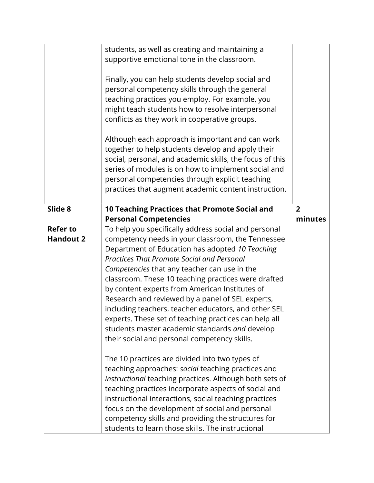|                  | students, as well as creating and maintaining a<br>supportive emotional tone in the classroom.                                                                                                                                                                                                                                                                                                                                                                                                                                                                                            |                |
|------------------|-------------------------------------------------------------------------------------------------------------------------------------------------------------------------------------------------------------------------------------------------------------------------------------------------------------------------------------------------------------------------------------------------------------------------------------------------------------------------------------------------------------------------------------------------------------------------------------------|----------------|
|                  | Finally, you can help students develop social and<br>personal competency skills through the general<br>teaching practices you employ. For example, you<br>might teach students how to resolve interpersonal<br>conflicts as they work in cooperative groups.                                                                                                                                                                                                                                                                                                                              |                |
|                  | Although each approach is important and can work<br>together to help students develop and apply their<br>social, personal, and academic skills, the focus of this<br>series of modules is on how to implement social and<br>personal competencies through explicit teaching<br>practices that augment academic content instruction.                                                                                                                                                                                                                                                       |                |
| Slide 8          | 10 Teaching Practices that Promote Social and                                                                                                                                                                                                                                                                                                                                                                                                                                                                                                                                             | $\overline{2}$ |
|                  | <b>Personal Competencies</b>                                                                                                                                                                                                                                                                                                                                                                                                                                                                                                                                                              | minutes        |
| <b>Refer to</b>  | To help you specifically address social and personal                                                                                                                                                                                                                                                                                                                                                                                                                                                                                                                                      |                |
| <b>Handout 2</b> | competency needs in your classroom, the Tennessee<br>Department of Education has adopted 10 Teaching<br><b>Practices That Promote Social and Personal</b><br>Competencies that any teacher can use in the<br>classroom. These 10 teaching practices were drafted<br>by content experts from American Institutes of<br>Research and reviewed by a panel of SEL experts,<br>including teachers, teacher educators, and other SEL<br>experts. These set of teaching practices can help all<br>students master academic standards and develop<br>their social and personal competency skills. |                |
|                  | The 10 practices are divided into two types of<br>teaching approaches: social teaching practices and<br>instructional teaching practices. Although both sets of<br>teaching practices incorporate aspects of social and<br>instructional interactions, social teaching practices<br>focus on the development of social and personal<br>competency skills and providing the structures for<br>students to learn those skills. The instructional                                                                                                                                            |                |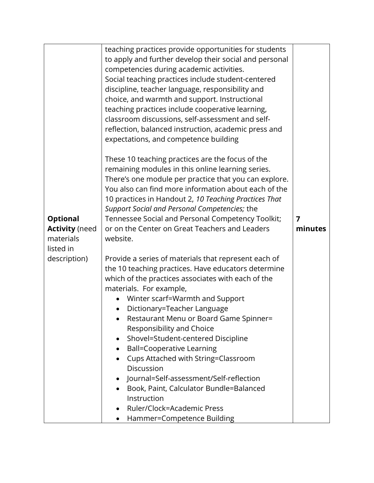| <b>Optional</b><br><b>Activity (need</b><br>materials<br>listed in<br>description) | teaching practices provide opportunities for students<br>to apply and further develop their social and personal<br>competencies during academic activities.<br>Social teaching practices include student-centered<br>discipline, teacher language, responsibility and<br>choice, and warmth and support. Instructional<br>teaching practices include cooperative learning,<br>classroom discussions, self-assessment and self-<br>reflection, balanced instruction, academic press and<br>expectations, and competence building<br>These 10 teaching practices are the focus of the<br>remaining modules in this online learning series.<br>There's one module per practice that you can explore.<br>You also can find more information about each of the<br>10 practices in Handout 2, 10 Teaching Practices That<br>Support Social and Personal Competencies; the<br>Tennessee Social and Personal Competency Toolkit;<br>or on the Center on Great Teachers and Leaders<br>website.<br>Provide a series of materials that represent each of<br>the 10 teaching practices. Have educators determine<br>which of the practices associates with each of the<br>materials. For example,<br>Winter scarf=Warmth and Support<br>Dictionary=Teacher Language<br>$\bullet$<br>Restaurant Menu or Board Game Spinner= | 7<br>minutes |
|------------------------------------------------------------------------------------|-----------------------------------------------------------------------------------------------------------------------------------------------------------------------------------------------------------------------------------------------------------------------------------------------------------------------------------------------------------------------------------------------------------------------------------------------------------------------------------------------------------------------------------------------------------------------------------------------------------------------------------------------------------------------------------------------------------------------------------------------------------------------------------------------------------------------------------------------------------------------------------------------------------------------------------------------------------------------------------------------------------------------------------------------------------------------------------------------------------------------------------------------------------------------------------------------------------------------------------------------------------------------------------------------------------------|--------------|
|                                                                                    | Responsibility and Choice<br>Shovel=Student-centered Discipline                                                                                                                                                                                                                                                                                                                                                                                                                                                                                                                                                                                                                                                                                                                                                                                                                                                                                                                                                                                                                                                                                                                                                                                                                                                 |              |
|                                                                                    | ٠<br><b>Ball=Cooperative Learning</b><br>٠                                                                                                                                                                                                                                                                                                                                                                                                                                                                                                                                                                                                                                                                                                                                                                                                                                                                                                                                                                                                                                                                                                                                                                                                                                                                      |              |
|                                                                                    | Cups Attached with String=Classroom                                                                                                                                                                                                                                                                                                                                                                                                                                                                                                                                                                                                                                                                                                                                                                                                                                                                                                                                                                                                                                                                                                                                                                                                                                                                             |              |
|                                                                                    | Discussion                                                                                                                                                                                                                                                                                                                                                                                                                                                                                                                                                                                                                                                                                                                                                                                                                                                                                                                                                                                                                                                                                                                                                                                                                                                                                                      |              |
|                                                                                    | Journal=Self-assessment/Self-reflection                                                                                                                                                                                                                                                                                                                                                                                                                                                                                                                                                                                                                                                                                                                                                                                                                                                                                                                                                                                                                                                                                                                                                                                                                                                                         |              |
|                                                                                    | Book, Paint, Calculator Bundle=Balanced                                                                                                                                                                                                                                                                                                                                                                                                                                                                                                                                                                                                                                                                                                                                                                                                                                                                                                                                                                                                                                                                                                                                                                                                                                                                         |              |
|                                                                                    | Instruction                                                                                                                                                                                                                                                                                                                                                                                                                                                                                                                                                                                                                                                                                                                                                                                                                                                                                                                                                                                                                                                                                                                                                                                                                                                                                                     |              |
|                                                                                    | Ruler/Clock=Academic Press                                                                                                                                                                                                                                                                                                                                                                                                                                                                                                                                                                                                                                                                                                                                                                                                                                                                                                                                                                                                                                                                                                                                                                                                                                                                                      |              |
|                                                                                    | Hammer=Competence Building                                                                                                                                                                                                                                                                                                                                                                                                                                                                                                                                                                                                                                                                                                                                                                                                                                                                                                                                                                                                                                                                                                                                                                                                                                                                                      |              |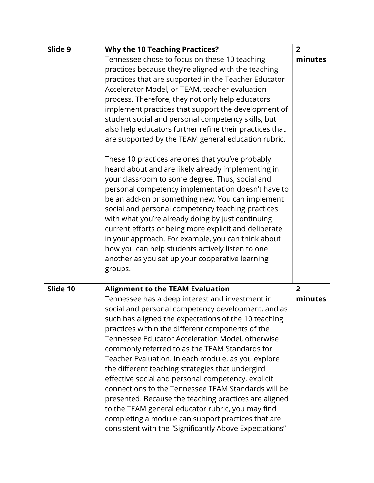| Slide 9  | <b>Why the 10 Teaching Practices?</b>                                                                                                                                                                                                                                                                                                                                                                                                                                                                                                                                                                          | $\overline{2}$ |
|----------|----------------------------------------------------------------------------------------------------------------------------------------------------------------------------------------------------------------------------------------------------------------------------------------------------------------------------------------------------------------------------------------------------------------------------------------------------------------------------------------------------------------------------------------------------------------------------------------------------------------|----------------|
|          | Tennessee chose to focus on these 10 teaching                                                                                                                                                                                                                                                                                                                                                                                                                                                                                                                                                                  | minutes        |
|          | practices because they're aligned with the teaching                                                                                                                                                                                                                                                                                                                                                                                                                                                                                                                                                            |                |
|          | practices that are supported in the Teacher Educator                                                                                                                                                                                                                                                                                                                                                                                                                                                                                                                                                           |                |
|          | Accelerator Model, or TEAM, teacher evaluation                                                                                                                                                                                                                                                                                                                                                                                                                                                                                                                                                                 |                |
|          | process. Therefore, they not only help educators                                                                                                                                                                                                                                                                                                                                                                                                                                                                                                                                                               |                |
|          | implement practices that support the development of                                                                                                                                                                                                                                                                                                                                                                                                                                                                                                                                                            |                |
|          | student social and personal competency skills, but                                                                                                                                                                                                                                                                                                                                                                                                                                                                                                                                                             |                |
|          | also help educators further refine their practices that                                                                                                                                                                                                                                                                                                                                                                                                                                                                                                                                                        |                |
|          | are supported by the TEAM general education rubric.                                                                                                                                                                                                                                                                                                                                                                                                                                                                                                                                                            |                |
|          | These 10 practices are ones that you've probably<br>heard about and are likely already implementing in<br>your classroom to some degree. Thus, social and<br>personal competency implementation doesn't have to<br>be an add-on or something new. You can implement<br>social and personal competency teaching practices<br>with what you're already doing by just continuing<br>current efforts or being more explicit and deliberate<br>in your approach. For example, you can think about<br>how you can help students actively listen to one<br>another as you set up your cooperative learning<br>groups. |                |
| Slide 10 | <b>Alignment to the TEAM Evaluation</b>                                                                                                                                                                                                                                                                                                                                                                                                                                                                                                                                                                        | $\overline{2}$ |
|          | Tennessee has a deep interest and investment in                                                                                                                                                                                                                                                                                                                                                                                                                                                                                                                                                                | minutes        |
|          | social and personal competency development, and as                                                                                                                                                                                                                                                                                                                                                                                                                                                                                                                                                             |                |
|          | such has aligned the expectations of the 10 teaching                                                                                                                                                                                                                                                                                                                                                                                                                                                                                                                                                           |                |
|          | practices within the different components of the                                                                                                                                                                                                                                                                                                                                                                                                                                                                                                                                                               |                |
|          | Tennessee Educator Acceleration Model, otherwise                                                                                                                                                                                                                                                                                                                                                                                                                                                                                                                                                               |                |
|          | commonly referred to as the TEAM Standards for                                                                                                                                                                                                                                                                                                                                                                                                                                                                                                                                                                 |                |
|          | Teacher Evaluation. In each module, as you explore                                                                                                                                                                                                                                                                                                                                                                                                                                                                                                                                                             |                |
|          | the different teaching strategies that undergird                                                                                                                                                                                                                                                                                                                                                                                                                                                                                                                                                               |                |
|          | effective social and personal competency, explicit                                                                                                                                                                                                                                                                                                                                                                                                                                                                                                                                                             |                |
|          | connections to the Tennessee TEAM Standards will be                                                                                                                                                                                                                                                                                                                                                                                                                                                                                                                                                            |                |
|          | presented. Because the teaching practices are aligned                                                                                                                                                                                                                                                                                                                                                                                                                                                                                                                                                          |                |
|          | to the TEAM general educator rubric, you may find                                                                                                                                                                                                                                                                                                                                                                                                                                                                                                                                                              |                |
|          | completing a module can support practices that are                                                                                                                                                                                                                                                                                                                                                                                                                                                                                                                                                             |                |
|          | consistent with the "Significantly Above Expectations"                                                                                                                                                                                                                                                                                                                                                                                                                                                                                                                                                         |                |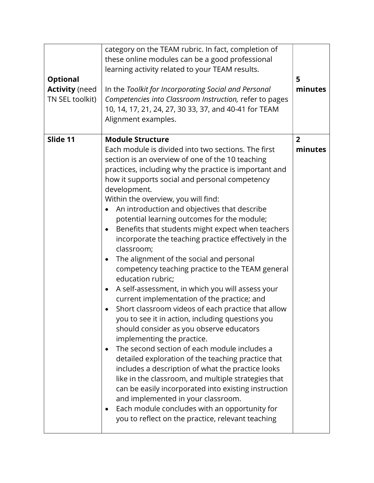| <b>Optional</b><br><b>Activity (need</b><br>TN SEL toolkit) | category on the TEAM rubric. In fact, completion of<br>these online modules can be a good professional<br>learning activity related to your TEAM results.<br>In the Toolkit for Incorporating Social and Personal<br>Competencies into Classroom Instruction, refer to pages<br>10, 14, 17, 21, 24, 27, 30 33, 37, and 40-41 for TEAM<br>Alignment examples.                                                                                                                                                                                                                                                                                                                                                                                                                                                                                                                                                                                                                                                                                                                                                                                                                                                                                                                                                                                                                                                          | 5<br>minutes              |
|-------------------------------------------------------------|-----------------------------------------------------------------------------------------------------------------------------------------------------------------------------------------------------------------------------------------------------------------------------------------------------------------------------------------------------------------------------------------------------------------------------------------------------------------------------------------------------------------------------------------------------------------------------------------------------------------------------------------------------------------------------------------------------------------------------------------------------------------------------------------------------------------------------------------------------------------------------------------------------------------------------------------------------------------------------------------------------------------------------------------------------------------------------------------------------------------------------------------------------------------------------------------------------------------------------------------------------------------------------------------------------------------------------------------------------------------------------------------------------------------------|---------------------------|
| Slide 11                                                    | <b>Module Structure</b><br>Each module is divided into two sections. The first<br>section is an overview of one of the 10 teaching<br>practices, including why the practice is important and<br>how it supports social and personal competency<br>development.<br>Within the overview, you will find:<br>An introduction and objectives that describe<br>$\bullet$<br>potential learning outcomes for the module;<br>Benefits that students might expect when teachers<br>incorporate the teaching practice effectively in the<br>classroom;<br>The alignment of the social and personal<br>competency teaching practice to the TEAM general<br>education rubric;<br>A self-assessment, in which you will assess your<br>$\bullet$<br>current implementation of the practice; and<br>Short classroom videos of each practice that allow<br>$\bullet$<br>you to see it in action, including questions you<br>should consider as you observe educators<br>implementing the practice.<br>The second section of each module includes a<br>$\bullet$<br>detailed exploration of the teaching practice that<br>includes a description of what the practice looks<br>like in the classroom, and multiple strategies that<br>can be easily incorporated into existing instruction<br>and implemented in your classroom.<br>Each module concludes with an opportunity for<br>you to reflect on the practice, relevant teaching | $\overline{2}$<br>minutes |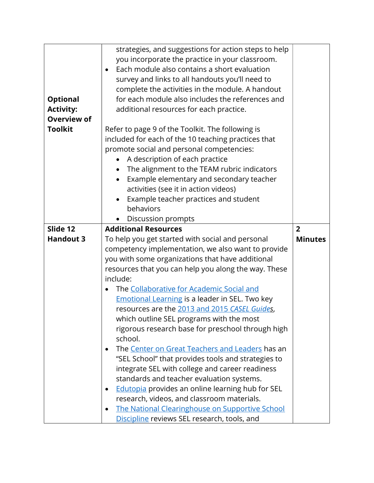| <b>Optional</b><br><b>Activity:</b><br><b>Overview of</b><br><b>Toolkit</b> | strategies, and suggestions for action steps to help<br>you incorporate the practice in your classroom.<br>Each module also contains a short evaluation<br>$\bullet$<br>survey and links to all handouts you'll need to<br>complete the activities in the module. A handout<br>for each module also includes the references and<br>additional resources for each practice.<br>Refer to page 9 of the Toolkit. The following is<br>included for each of the 10 teaching practices that |                |
|-----------------------------------------------------------------------------|---------------------------------------------------------------------------------------------------------------------------------------------------------------------------------------------------------------------------------------------------------------------------------------------------------------------------------------------------------------------------------------------------------------------------------------------------------------------------------------|----------------|
|                                                                             | promote social and personal competencies:<br>• A description of each practice                                                                                                                                                                                                                                                                                                                                                                                                         |                |
|                                                                             | The alignment to the TEAM rubric indicators                                                                                                                                                                                                                                                                                                                                                                                                                                           |                |
|                                                                             | Example elementary and secondary teacher                                                                                                                                                                                                                                                                                                                                                                                                                                              |                |
|                                                                             | activities (see it in action videos)                                                                                                                                                                                                                                                                                                                                                                                                                                                  |                |
|                                                                             | Example teacher practices and student<br>behaviors                                                                                                                                                                                                                                                                                                                                                                                                                                    |                |
|                                                                             | Discussion prompts                                                                                                                                                                                                                                                                                                                                                                                                                                                                    |                |
| Slide 12                                                                    | <b>Additional Resources</b>                                                                                                                                                                                                                                                                                                                                                                                                                                                           | $\overline{2}$ |
| <b>Handout 3</b>                                                            | To help you get started with social and personal                                                                                                                                                                                                                                                                                                                                                                                                                                      | <b>Minutes</b> |
|                                                                             | competency implementation, we also want to provide                                                                                                                                                                                                                                                                                                                                                                                                                                    |                |
|                                                                             | you with some organizations that have additional                                                                                                                                                                                                                                                                                                                                                                                                                                      |                |
|                                                                             | resources that you can help you along the way. These                                                                                                                                                                                                                                                                                                                                                                                                                                  |                |
|                                                                             | include:<br>The Collaborative for Academic Social and                                                                                                                                                                                                                                                                                                                                                                                                                                 |                |
|                                                                             | <b>Emotional Learning is a leader in SEL. Two key</b>                                                                                                                                                                                                                                                                                                                                                                                                                                 |                |
|                                                                             | resources are the 2013 and 2015 CASEL Guides,                                                                                                                                                                                                                                                                                                                                                                                                                                         |                |
|                                                                             | which outline SEL programs with the most                                                                                                                                                                                                                                                                                                                                                                                                                                              |                |
|                                                                             | rigorous research base for preschool through high                                                                                                                                                                                                                                                                                                                                                                                                                                     |                |
|                                                                             | school.                                                                                                                                                                                                                                                                                                                                                                                                                                                                               |                |
|                                                                             | The Center on Great Teachers and Leaders has an<br>٠                                                                                                                                                                                                                                                                                                                                                                                                                                  |                |
|                                                                             | "SEL School" that provides tools and strategies to                                                                                                                                                                                                                                                                                                                                                                                                                                    |                |
|                                                                             | integrate SEL with college and career readiness<br>standards and teacher evaluation systems.                                                                                                                                                                                                                                                                                                                                                                                          |                |
|                                                                             | <b>Edutopia</b> provides an online learning hub for SEL<br>$\bullet$                                                                                                                                                                                                                                                                                                                                                                                                                  |                |
|                                                                             | research, videos, and classroom materials.                                                                                                                                                                                                                                                                                                                                                                                                                                            |                |
|                                                                             | The National Clearinghouse on Supportive School                                                                                                                                                                                                                                                                                                                                                                                                                                       |                |
|                                                                             | Discipline reviews SEL research, tools, and                                                                                                                                                                                                                                                                                                                                                                                                                                           |                |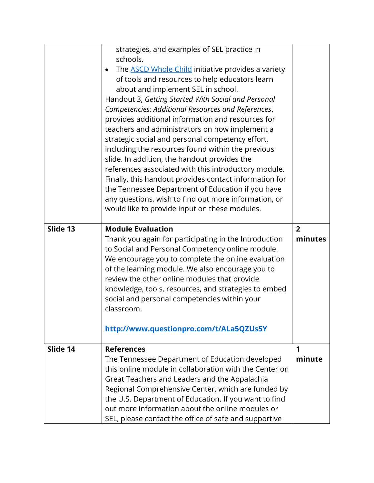| Slide 13 | strategies, and examples of SEL practice in<br>schools.<br>The <b>ASCD</b> Whole Child initiative provides a variety<br>$\bullet$<br>of tools and resources to help educators learn<br>about and implement SEL in school.<br>Handout 3, Getting Started With Social and Personal<br>Competencies: Additional Resources and References,<br>provides additional information and resources for<br>teachers and administrators on how implement a<br>strategic social and personal competency effort,<br>including the resources found within the previous<br>slide. In addition, the handout provides the<br>references associated with this introductory module.<br>Finally, this handout provides contact information for<br>the Tennessee Department of Education if you have<br>any questions, wish to find out more information, or<br>would like to provide input on these modules.<br><b>Module Evaluation</b><br>Thank you again for participating in the Introduction<br>to Social and Personal Competency online module.<br>We encourage you to complete the online evaluation | $\overline{2}$<br>minutes |
|----------|---------------------------------------------------------------------------------------------------------------------------------------------------------------------------------------------------------------------------------------------------------------------------------------------------------------------------------------------------------------------------------------------------------------------------------------------------------------------------------------------------------------------------------------------------------------------------------------------------------------------------------------------------------------------------------------------------------------------------------------------------------------------------------------------------------------------------------------------------------------------------------------------------------------------------------------------------------------------------------------------------------------------------------------------------------------------------------------|---------------------------|
|          | of the learning module. We also encourage you to<br>review the other online modules that provide<br>knowledge, tools, resources, and strategies to embed<br>social and personal competencies within your<br>classroom.<br>http://www.questionpro.com/t/ALa5QZUs5Y                                                                                                                                                                                                                                                                                                                                                                                                                                                                                                                                                                                                                                                                                                                                                                                                                     |                           |
|          |                                                                                                                                                                                                                                                                                                                                                                                                                                                                                                                                                                                                                                                                                                                                                                                                                                                                                                                                                                                                                                                                                       |                           |
| Slide 14 | <b>References</b><br>The Tennessee Department of Education developed<br>this online module in collaboration with the Center on<br>Great Teachers and Leaders and the Appalachia<br>Regional Comprehensive Center, which are funded by<br>the U.S. Department of Education. If you want to find                                                                                                                                                                                                                                                                                                                                                                                                                                                                                                                                                                                                                                                                                                                                                                                        | 1<br>minute               |